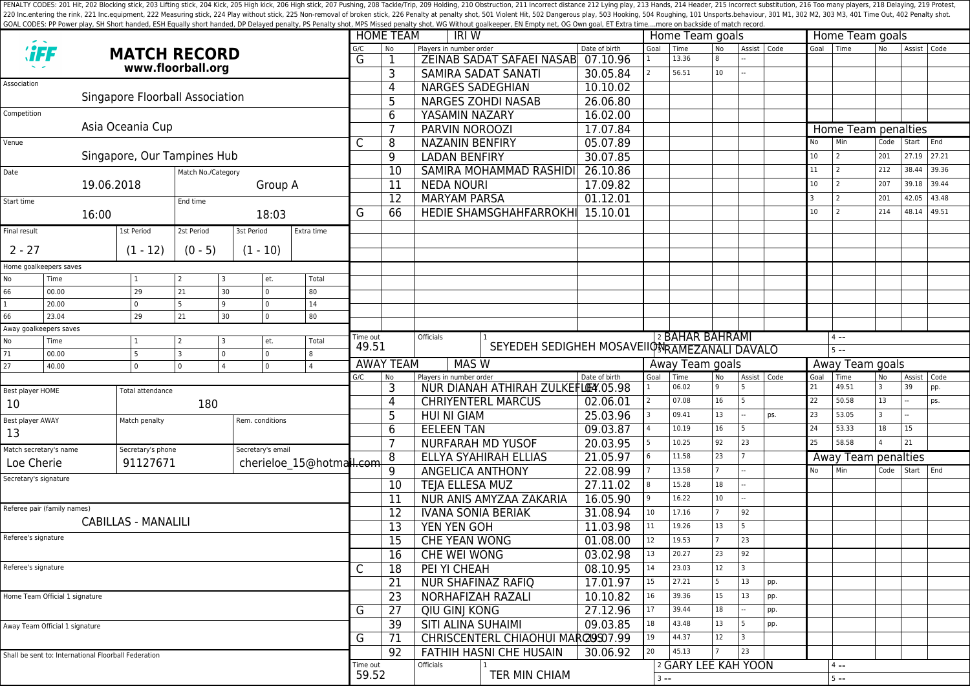PENALTY CODES: 201 Hit, 202 Blocking stick, 203 Lifting stick, 203 Kick, 205 High kick, 205 High kick, 205 High stick, 206 High stick, 207 Pushing, 208 Tackle/Trip, 209 Holding, 210 Obstruction, 211 Incorrect distance 212 220 Inc.entering the rink, 221 Inc.equipment, 222 Measuring stick, 224 Play without stick, 225 Non-removal of broken stick, 225 Poralty shot, 501 Violent Hit, 502 Dangerous play, 503 Hooking, 504 Roughing, 101 Unsports.beh GOAL CODES: PP Power play, SH Short handed, ESH Equally short handed, DP Delayed penalty, PS Penalty shot, MPS Missed penalty shot, WG Without goalkeeper, EN Empty net, OG Own goal, ET Extra time....more on backside of mat

|                                                         |                                |                                 |            |                            |                          |                                                                                           | <b>HOME TEAM</b><br>IRI W |                                              |                                                           |                                            |                 | Home Team goals            |                |                                      |                      |            | Home Team goals            |           |                |       |  |  |
|---------------------------------------------------------|--------------------------------|---------------------------------|------------|----------------------------|--------------------------|-------------------------------------------------------------------------------------------|---------------------------|----------------------------------------------|-----------------------------------------------------------|--------------------------------------------|-----------------|----------------------------|----------------|--------------------------------------|----------------------|------------|----------------------------|-----------|----------------|-------|--|--|
|                                                         |                                | <b>MATCH RECORD</b>             |            |                            |                          |                                                                                           | No                        | Players in number order                      |                                                           | Date of birth                              | Goal            | Time<br>13.36              | <b>No</b><br>8 | Assist   Code                        |                      | Goal       | Time                       | <b>No</b> | Assist   Code  |       |  |  |
|                                                         |                                | www.floorball.org               |            |                            |                          |                                                                                           |                           |                                              | ZEINAB SADAT SAFAEI NASAB 07.10.96<br>SAMIRA SADAT SANATI |                                            |                 | 56.51                      | 10             |                                      |                      |            |                            |           |                |       |  |  |
| Association                                             |                                |                                 |            |                            |                          |                                                                                           | 3                         | <b>NARGES SADEGHIAN</b>                      |                                                           | 30.05.84                                   |                 |                            |                |                                      |                      |            |                            |           |                |       |  |  |
|                                                         |                                | Singapore Floorball Association |            |                            |                          |                                                                                           | 4                         |                                              | <b>NARGES ZOHDI NASAB</b>                                 | 10.10.02<br>26.06.80                       |                 |                            |                |                                      |                      |            |                            |           |                |       |  |  |
| Competition                                             |                                |                                 |            |                            |                          |                                                                                           | 5                         |                                              |                                                           |                                            |                 |                            |                |                                      |                      |            |                            |           |                |       |  |  |
|                                                         |                                | Asia Oceania Cup                |            |                            |                          |                                                                                           | 6                         | YASAMIN NAZARY                               |                                                           | 16.02.00                                   |                 |                            |                |                                      |                      |            |                            |           |                |       |  |  |
|                                                         |                                |                                 |            |                            |                          |                                                                                           | $\overline{7}$            | PARVIN NOROOZI<br><b>NAZANIN BENFIRY</b>     |                                                           | 17.07.84                                   |                 |                            |                |                                      |                      |            | Home Team penalties<br>Min |           |                | End   |  |  |
| Venue                                                   |                                |                                 |            |                            |                          | C                                                                                         | 8                         |                                              |                                                           | 05.07.89                                   |                 |                            |                |                                      |                      | No         | 2                          | Code      | Start          | 27.21 |  |  |
|                                                         |                                | Singapore, Our Tampines Hub     |            |                            |                          |                                                                                           | $\overline{9}$            | <b>LADAN BENFIRY</b>                         |                                                           | 30.07.85                                   |                 |                            |                |                                      |                      | 10         |                            | 201       | 27.19          |       |  |  |
| Date<br>Match No./Category                              |                                |                                 |            |                            |                          |                                                                                           | 10                        |                                              | SAMIRA MOHAMMAD RASHIDI                                   | 26.10.86                                   |                 |                            |                |                                      |                      | 11         | l 2                        | 212       | 38.44          | 39.36 |  |  |
| 19.06.2018<br>Group A                                   |                                |                                 |            |                            |                          | 11                                                                                        | <b>NEDA NOURI</b>         |                                              | 17.09.82                                                  |                                            |                 |                            |                |                                      | 10 <sup>°</sup><br>3 | l 2<br>l 2 | 207                        | 39.18     | 39.44<br>43.48 |       |  |  |
| Start time                                              |                                |                                 | End time   |                            |                          |                                                                                           | 12                        | <b>MARYAM PARSA</b>                          |                                                           | 01.12.01                                   |                 |                            |                |                                      |                      | 10         | l 2                        | 201       | 42.05<br>48.14 | 49.51 |  |  |
|                                                         | 16:00                          |                                 |            | 18:03                      |                          | G                                                                                         | 66                        |                                              | <b>HEDIE SHAMSGHAHFARROKH</b>                             | 15.10.01                                   |                 |                            |                |                                      |                      |            |                            | 214       |                |       |  |  |
| Final result                                            |                                | 1st Period                      | 2st Period | 3st Period                 | Extra time               |                                                                                           |                           |                                              |                                                           |                                            |                 |                            |                |                                      |                      |            |                            |           |                |       |  |  |
| $2 - 27$                                                |                                | $(1 - 12)$                      | $(0 - 5)$  | $(1 - 10)$                 |                          |                                                                                           |                           |                                              |                                                           |                                            |                 |                            |                |                                      |                      |            |                            |           |                |       |  |  |
|                                                         | Home goalkeepers saves         |                                 |            |                            |                          |                                                                                           |                           |                                              |                                                           |                                            |                 |                            |                |                                      |                      |            |                            |           |                |       |  |  |
| No                                                      | Time                           |                                 | -2         | et.                        | Total                    |                                                                                           |                           |                                              |                                                           |                                            |                 |                            |                |                                      |                      |            |                            |           |                |       |  |  |
| 66                                                      | 00.00                          | 29                              | 21         | $\overline{0}$<br>30       | 80                       |                                                                                           |                           |                                              |                                                           |                                            |                 |                            |                |                                      |                      |            |                            |           |                |       |  |  |
| $\mathbf{1}$                                            | 20.00                          | $\mathbf 0$                     | 5          | $\mathbf 0$<br>9           | 14                       |                                                                                           |                           |                                              |                                                           |                                            |                 |                            |                |                                      |                      |            |                            |           |                |       |  |  |
| 66                                                      | 23.04                          | 29                              | 21         | $\mathbf 0$<br>30          | 80                       |                                                                                           |                           |                                              |                                                           |                                            |                 |                            |                |                                      |                      |            |                            |           |                |       |  |  |
| Away goalkeepers saves                                  |                                |                                 |            |                            |                          |                                                                                           |                           | <b>Officials</b>                             |                                                           |                                            |                 |                            |                |                                      |                      |            |                            |           |                |       |  |  |
| No                                                      | Time                           |                                 |            | et.                        | Total                    | Time out<br>49.51                                                                         |                           | SEYEDEH SEDIGHEH MOSAVEIIONRAMEZANALI DAVALO |                                                           |                                            |                 | <sup>2</sup> BAHAR BAHRAMI |                |                                      | $4 -$<br>$5 - -$     |            |                            |           |                |       |  |  |
| 71                                                      | 00.00                          | 5                               | 3          | $\mathsf 0$<br>$\mathbf 0$ | 8                        |                                                                                           |                           |                                              | Away Team goals                                           |                                            |                 |                            |                |                                      | Away Team goals      |            |                            |           |                |       |  |  |
| 27<br>$\mathsf 0$<br>40.00<br>$\Omega$<br>0<br>$\Delta$ |                                |                                 |            |                            |                          | <b>AWAY TEAM</b><br><b>MAS W</b><br>G/C<br>Players in number order<br>Date of birth<br>No |                           |                                              |                                                           | Goal<br>Time<br><b>No</b><br>Assist   Code |                 |                            |                | Goal<br>Time<br>Assist<br>Code<br>No |                      |            |                            |           |                |       |  |  |
| Best player HOME                                        |                                | <b>Total attendance</b>         |            |                            |                          |                                                                                           | 3                         |                                              | NUR DIANAH ATHIRAH ZULKEFLOM.05.98                        |                                            |                 | 06.02                      | 9              |                                      |                      | 21         | 49.51                      | 3         | 39             | pp.   |  |  |
| 10                                                      |                                | 180                             |            |                            |                          |                                                                                           | 4                         |                                              | <b>CHRIYENTERL MARCUS</b>                                 | 02.06.01                                   |                 | 07.08                      | 16             |                                      |                      | 22         | 50.58                      | 13        |                | ps.   |  |  |
|                                                         |                                |                                 |            |                            |                          | 5                                                                                         | <b>HUI NI GIAM</b>        |                                              | 25.03.96                                                  |                                            | 09.41           | 13                         |                | ps.                                  | 23                   | 53.05      | $\overline{3}$             |           |                |       |  |  |
| Best player AWAY<br>13                                  |                                | Match penalty                   |            | Rem. conditions            |                          |                                                                                           | 6                         | <b>EELEEN TAN</b>                            |                                                           | 09.03.87                                   |                 | 10.19                      | 16             | $\overline{5}$                       |                      | 24         | 53.33                      | 18        | 15             |       |  |  |
|                                                         |                                |                                 |            |                            |                          |                                                                                           | $\overline{7}$            | NURFARAH MD YUSOF                            |                                                           | 20.03.95                                   |                 | 10.25                      | 92             | 23                                   |                      | 25         | 58.58                      |           | 21             |       |  |  |
|                                                         | Match secretary's name         | Secretary's phone               |            | Secretary's email          |                          |                                                                                           | 8                         |                                              | ELLYA SYAHIRAH ELLIAS                                     | 21.05.97                                   |                 | 11.58                      | 23             |                                      |                      |            | Away Team penalties        |           |                |       |  |  |
|                                                         | Loe Cherie                     | 91127671                        |            |                            | cherieloe 15@hotmail.com |                                                                                           | $\overline{9}$            | ANGELICA ANTHONY                             |                                                           | 22.08.99                                   |                 | 13.58                      |                |                                      |                      | No         | Min                        | Code      | Start End      |       |  |  |
| Secretary's signature                                   |                                |                                 |            |                            |                          |                                                                                           | 10                        | <b>TEJA ELLESA MUZ</b>                       |                                                           | 27.11.02                                   |                 | 15.28                      | 18             |                                      |                      |            |                            |           |                |       |  |  |
|                                                         |                                |                                 |            |                            |                          |                                                                                           | 11                        |                                              | NUR ANIS AMYZAA ZAKARIA                                   | 16.05.90                                   |                 | 16.22                      | 10             |                                      |                      |            |                            |           |                |       |  |  |
|                                                         | Referee pair (family names)    |                                 |            |                            |                          |                                                                                           | 12                        | <b>IVANA SONIA BERIAK</b>                    |                                                           | 31.08.94                                   | 10 <sup>°</sup> | 17.16                      |                | 92                                   |                      |            |                            |           |                |       |  |  |
|                                                         |                                | <b>CABILLAS - MANALILI</b>      |            |                            |                          |                                                                                           | 13                        | <b>YEN YEN GOH</b>                           |                                                           | 11.03.98                                   | 11              | 19.26                      | 13             |                                      |                      |            |                            |           |                |       |  |  |
| Referee's signature                                     |                                |                                 |            |                            |                          |                                                                                           | 15                        | <b>CHE YEAN WONG</b>                         |                                                           | 01.08.00                                   | 12              | 19.53                      |                | 23                                   |                      |            |                            |           |                |       |  |  |
|                                                         |                                |                                 |            |                            |                          |                                                                                           | 16                        | CHE WEI WONG                                 |                                                           | 03.02.98                                   | 13              | 20.27                      | 23             | 92                                   |                      |            |                            |           |                |       |  |  |
| Referee's signature                                     |                                |                                 |            |                            |                          |                                                                                           | 18                        | PEI YI CHEAH                                 |                                                           | 08.10.95                                   | 14              | 23.03                      | 12             | $\overline{3}$                       |                      |            |                            |           |                |       |  |  |
|                                                         |                                |                                 |            |                            |                          |                                                                                           | 21                        | NUR SHAFINAZ RAFIQ                           |                                                           | 17.01.97                                   | 15              | 27.21                      | 5              | 13                                   | pp.                  |            |                            |           |                |       |  |  |
|                                                         | Home Team Official 1 signature |                                 |            |                            |                          |                                                                                           | 23                        | NORHAFIZAH RAZALI                            |                                                           | 10.10.82                                   | $16\,$          | 39.36                      | 15             | $13$                                 | pp.                  |            |                            |           |                |       |  |  |
|                                                         |                                |                                 |            |                            |                          | G                                                                                         | 27                        | QIU GINJ KONG                                |                                                           | 27.12.96                                   | 17              | 39.44                      | 18             |                                      | pp.                  |            |                            |           |                |       |  |  |
| Away Team Official 1 signature                          |                                |                                 |            |                            |                          |                                                                                           | 39                        | <b>SITI ALINA SUHAIMI</b>                    |                                                           | 09.03.85                                   | 18              | 43.48                      | 13             | 5                                    | pp.                  |            |                            |           |                |       |  |  |
|                                                         |                                |                                 |            |                            | G                        | 71                                                                                        |                           | CHRISCENTERL CHIAOHUI MARQUS07.99            |                                                           | 19                                         | 44.37           | 12                         | $\overline{3}$ |                                      |                      |            |                            |           |                |       |  |  |
| Shall be sent to: International Floorball Federation    |                                |                                 |            |                            |                          |                                                                                           | 92                        |                                              | FATHIH HASNI CHE HUSAIN                                   | 30.06.92                                   | 20              | 45.13                      | $\overline{7}$ | 23                                   |                      |            |                            |           |                |       |  |  |
|                                                         |                                |                                 |            |                            |                          | Time out                                                                                  |                           | Officials                                    |                                                           |                                            |                 | 2 GARY LEE KAH YOON        |                |                                      |                      |            | $4 - -$                    |           |                |       |  |  |
|                                                         |                                |                                 |            |                            |                          | 59.52                                                                                     |                           |                                              | TER MIN CHIAM                                             |                                            |                 | $3 - -$                    |                |                                      |                      |            |                            | $5 - -$   |                |       |  |  |
|                                                         |                                |                                 |            |                            |                          |                                                                                           |                           |                                              |                                                           |                                            |                 |                            |                |                                      |                      |            |                            |           |                |       |  |  |